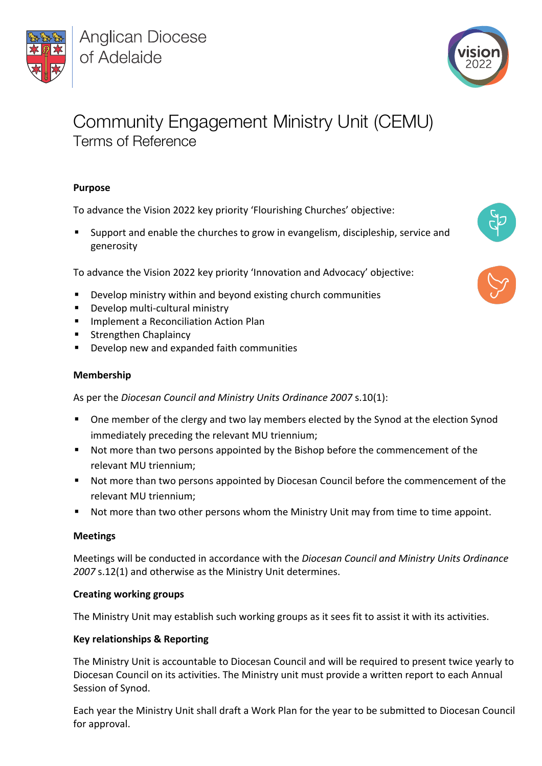

**Anglican Diocese** of Adelaide



# Community Engagement Ministry Unit (CEMU) Terms of Reference

## **Purpose**

To advance the Vision 2022 key priority 'Flourishing Churches' objective:

§ Support and enable the churches to grow in evangelism, discipleship, service and generosity

To advance the Vision 2022 key priority 'Innovation and Advocacy' objective:

- Develop ministry within and beyond existing church communities
- § Develop multi-cultural ministry
- § Implement a Reconciliation Action Plan
- § Strengthen Chaplaincy
- Develop new and expanded faith communities

### **Membership**

As per the *Diocesan Council and Ministry Units Ordinance 2007* s.10(1):

- One member of the clergy and two lay members elected by the Synod at the election Synod immediately preceding the relevant MU triennium;
- Not more than two persons appointed by the Bishop before the commencement of the relevant MU triennium;
- Not more than two persons appointed by Diocesan Council before the commencement of the relevant MU triennium;
- Not more than two other persons whom the Ministry Unit may from time to time appoint.

### **Meetings**

Meetings will be conducted in accordance with the *Diocesan Council and Ministry Units Ordinance 2007* s.12(1) and otherwise as the Ministry Unit determines.

### **Creating working groups**

The Ministry Unit may establish such working groups as it sees fit to assist it with its activities.

### **Key relationships & Reporting**

The Ministry Unit is accountable to Diocesan Council and will be required to present twice yearly to Diocesan Council on its activities. The Ministry unit must provide a written report to each Annual Session of Synod.

Each year the Ministry Unit shall draft a Work Plan for the year to be submitted to Diocesan Council for approval.